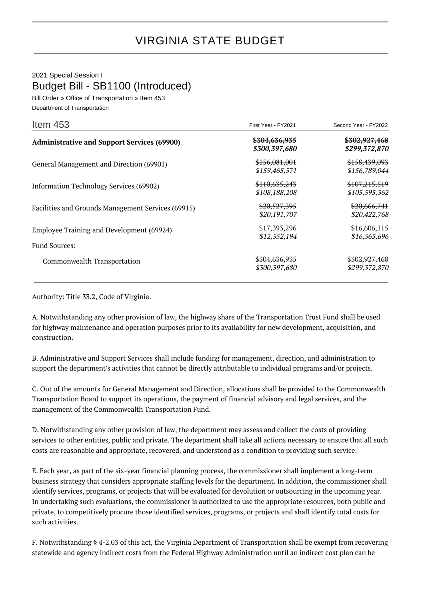## 2021 Special Session I Budget Bill - SB1100 (Introduced)

Bill Order » Office of Transportation » Item 453 Department of Transportation

| Item $453$                                                        | First Year - FY2021                       | Second Year - FY2022                      |
|-------------------------------------------------------------------|-------------------------------------------|-------------------------------------------|
| <b>Administrative and Support Services (69900)</b>                | <del>\$304,636,935</del><br>\$300,397,680 | \$302,927,468<br>\$299,372,870            |
| General Management and Direction (69901)                          | \$156,081,001<br>\$159,465,571            | \$158,439,093<br>\$156,789,044            |
| Information Technology Services (69902)                           | \$110,635,243<br>\$108,188,208            | \$107,215,519<br>\$105,595,362            |
| Facilities and Grounds Management Services (69915)                | \$20,527,395<br>\$20,191,707              | \$20,666,741<br>\$20,422,768              |
| Employee Training and Development (69924)<br><b>Fund Sources:</b> | <del>\$17,393,296</del><br>\$12,552,194   | \$16,606,115<br>\$16,565,696              |
| Commonwealth Transportation                                       | <del>\$304,636,935</del><br>\$300,397,680 | <del>\$302,927,468</del><br>\$299,372,870 |

Authority: Title 33.2, Code of Virginia.

A. Notwithstanding any other provision of law, the highway share of the Transportation Trust Fund shall be used for highway maintenance and operation purposes prior to its availability for new development, acquisition, and construction.

B. Administrative and Support Services shall include funding for management, direction, and administration to support the department's activities that cannot be directly attributable to individual programs and/or projects.

C. Out of the amounts for General Management and Direction, allocations shall be provided to the Commonwealth Transportation Board to support its operations, the payment of financial advisory and legal services, and the management of the Commonwealth Transportation Fund.

D. Notwithstanding any other provision of law, the department may assess and collect the costs of providing services to other entities, public and private. The department shall take all actions necessary to ensure that all such costs are reasonable and appropriate, recovered, and understood as a condition to providing such service.

E. Each year, as part of the six-year financial planning process, the commissioner shall implement a long-term business strategy that considers appropriate staffing levels for the department. In addition, the commissioner shall identify services, programs, or projects that will be evaluated for devolution or outsourcing in the upcoming year. In undertaking such evaluations, the commissioner is authorized to use the appropriate resources, both public and private, to competitively procure those identified services, programs, or projects and shall identify total costs for such activities.

F. Notwithstanding § 4-2.03 of this act, the Virginia Department of Transportation shall be exempt from recovering statewide and agency indirect costs from the Federal Highway Administration until an indirect cost plan can be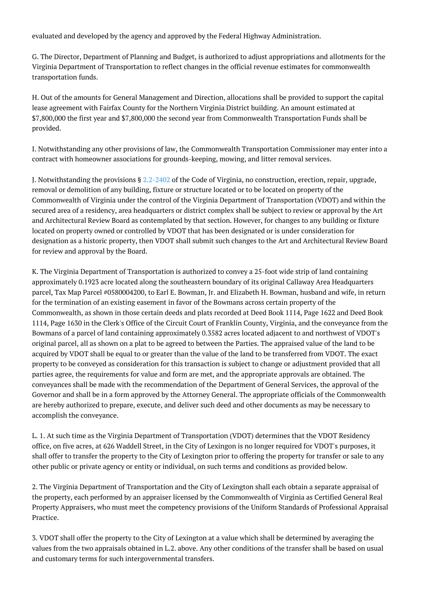evaluated and developed by the agency and approved by the Federal Highway Administration.

G. The Director, Department of Planning and Budget, is authorized to adjust appropriations and allotments for the Virginia Department of Transportation to reflect changes in the official revenue estimates for commonwealth transportation funds.

H. Out of the amounts for General Management and Direction, allocations shall be provided to support the capital lease agreement with Fairfax County for the Northern Virginia District building. An amount estimated at \$7,800,000 the first year and \$7,800,000 the second year from Commonwealth Transportation Funds shall be provided.

I. Notwithstanding any other provisions of law, the Commonwealth Transportation Commissioner may enter into a contract with homeowner associations for grounds-keeping, mowing, and litter removal services.

J. Notwithstanding the provisions § [2.2-2402](http://law.lis.virginia.gov/vacode/2.2-2402/) of the Code of Virginia, no construction, erection, repair, upgrade, removal or demolition of any building, fixture or structure located or to be located on property of the Commonwealth of Virginia under the control of the Virginia Department of Transportation (VDOT) and within the secured area of a residency, area headquarters or district complex shall be subject to review or approval by the Art and Architectural Review Board as contemplated by that section. However, for changes to any building or fixture located on property owned or controlled by VDOT that has been designated or is under consideration for designation as a historic property, then VDOT shall submit such changes to the Art and Architectural Review Board for review and approval by the Board.

K. The Virginia Department of Transportation is authorized to convey a 25-foot wide strip of land containing approximately 0.1923 acre located along the southeastern boundary of its original Callaway Area Headquarters parcel, Tax Map Parcel #0580004200, to Earl E. Bowman, Jr. and Elizabeth H. Bowman, husband and wife, in return for the termination of an existing easement in favor of the Bowmans across certain property of the Commonwealth, as shown in those certain deeds and plats recorded at Deed Book 1114, Page 1622 and Deed Book 1114, Page 1630 in the Clerk's Office of the Circuit Court of Franklin County, Virginia, and the conveyance from the Bowmans of a parcel of land containing approximately 0.3582 acres located adjacent to and northwest of VDOT's original parcel, all as shown on a plat to be agreed to between the Parties. The appraised value of the land to be acquired by VDOT shall be equal to or greater than the value of the land to be transferred from VDOT. The exact property to be conveyed as consideration for this transaction is subject to change or adjustment provided that all parties agree, the requirements for value and form are met, and the appropriate approvals are obtained. The conveyances shall be made with the recommendation of the Department of General Services, the approval of the Governor and shall be in a form approved by the Attorney General. The appropriate officials of the Commonwealth are hereby authorized to prepare, execute, and deliver such deed and other documents as may be necessary to accomplish the conveyance.

L. 1. At such time as the Virginia Department of Transportation (VDOT) determines that the VDOT Residency office, on five acres, at 626 Waddell Street, in the City of Lexingon is no longer required for VDOT's purposes, it shall offer to transfer the property to the City of Lexington prior to offering the property for transfer or sale to any other public or private agency or entity or individual, on such terms and conditions as provided below.

2. The Virginia Department of Transportation and the City of Lexington shall each obtain a separate appraisal of the property, each performed by an appraiser licensed by the Commonwealth of Virginia as Certified General Real Property Appraisers, who must meet the competency provisions of the Uniform Standards of Professional Appraisal Practice.

3. VDOT shall offer the property to the City of Lexington at a value which shall be determined by averaging the values from the two appraisals obtained in L.2. above. Any other conditions of the transfer shall be based on usual and customary terms for such intergovernmental transfers.